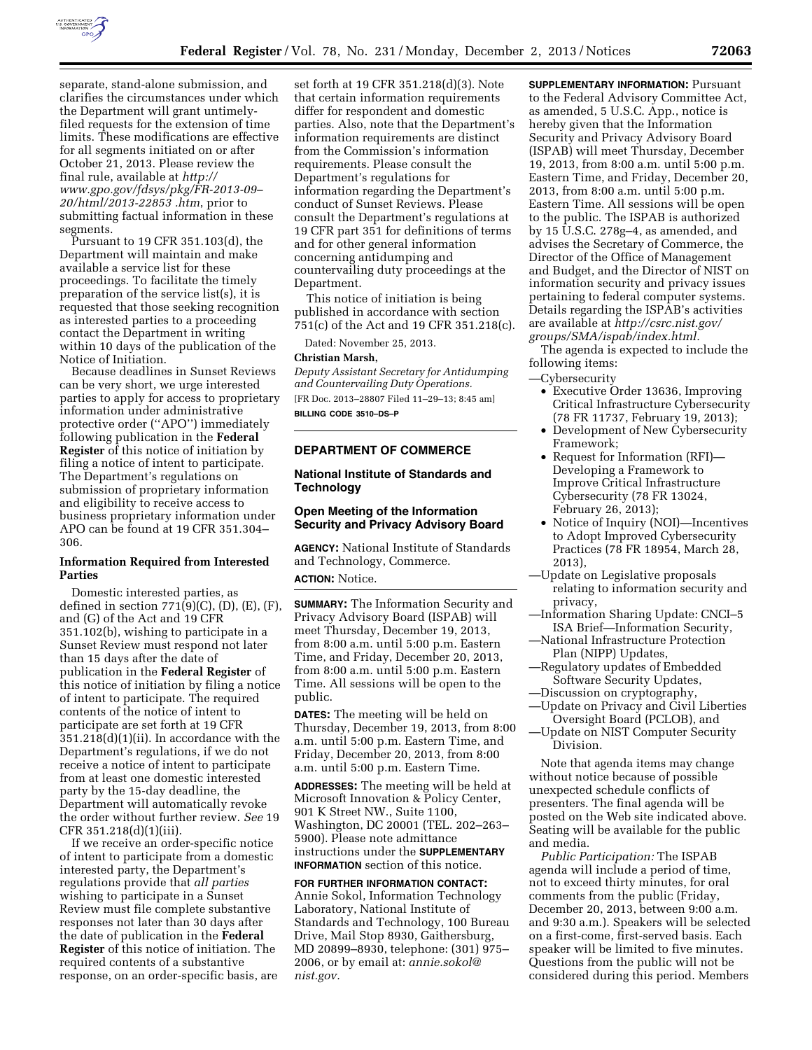

separate, stand-alone submission, and clarifies the circumstances under which the Department will grant untimelyfiled requests for the extension of time limits. These modifications are effective for all segments initiated on or after October 21, 2013. Please review the final rule, available at *[http://](http://www.gpo.gov/fdsys/pkg/FR-2013-09%E2%80%9320/html/2013-22853%20htm) [www.gpo.gov/fdsys/pkg/FR-2013-09–](http://www.gpo.gov/fdsys/pkg/FR-2013-09%E2%80%9320/html/2013-22853%20htm)  [20/html/2013-22853 .htm](http://www.gpo.gov/fdsys/pkg/FR-2013-09%E2%80%9320/html/2013-22853%20htm)*, prior to submitting factual information in these segments.

Pursuant to 19 CFR 351.103(d), the Department will maintain and make available a service list for these proceedings. To facilitate the timely preparation of the service list(s), it is requested that those seeking recognition as interested parties to a proceeding contact the Department in writing within 10 days of the publication of the Notice of Initiation.

Because deadlines in Sunset Reviews can be very short, we urge interested parties to apply for access to proprietary information under administrative protective order (''APO'') immediately following publication in the **Federal Register** of this notice of initiation by filing a notice of intent to participate. The Department's regulations on submission of proprietary information and eligibility to receive access to business proprietary information under APO can be found at 19 CFR 351.304– 306.

#### **Information Required from Interested Parties**

Domestic interested parties, as defined in section  $771(9)(C)$ ,  $(D)$ ,  $(E)$ ,  $(F)$ , and (G) of the Act and 19 CFR 351.102(b), wishing to participate in a Sunset Review must respond not later than 15 days after the date of publication in the **Federal Register** of this notice of initiation by filing a notice of intent to participate. The required contents of the notice of intent to participate are set forth at 19 CFR 351.218(d)(1)(ii). In accordance with the Department's regulations, if we do not receive a notice of intent to participate from at least one domestic interested party by the 15-day deadline, the Department will automatically revoke the order without further review. *See* 19 CFR 351.218(d)(1)(iii).

If we receive an order-specific notice of intent to participate from a domestic interested party, the Department's regulations provide that *all parties*  wishing to participate in a Sunset Review must file complete substantive responses not later than 30 days after the date of publication in the **Federal Register** of this notice of initiation. The required contents of a substantive response, on an order-specific basis, are

set forth at 19 CFR 351.218(d)(3). Note that certain information requirements differ for respondent and domestic parties. Also, note that the Department's information requirements are distinct from the Commission's information requirements. Please consult the Department's regulations for information regarding the Department's conduct of Sunset Reviews. Please consult the Department's regulations at 19 CFR part 351 for definitions of terms and for other general information concerning antidumping and countervailing duty proceedings at the Department.

This notice of initiation is being published in accordance with section 751(c) of the Act and 19 CFR 351.218(c).

Dated: November 25, 2013.

#### **Christian Marsh,**

*Deputy Assistant Secretary for Antidumping and Countervailing Duty Operations.*  [FR Doc. 2013–28807 Filed 11–29–13; 8:45 am] **BILLING CODE 3510–DS–P** 

# **DEPARTMENT OF COMMERCE**

## **National Institute of Standards and Technology**

# **Open Meeting of the Information Security and Privacy Advisory Board**

**AGENCY:** National Institute of Standards and Technology, Commerce.

# **ACTION:** Notice.

**SUMMARY:** The Information Security and Privacy Advisory Board (ISPAB) will meet Thursday, December 19, 2013, from 8:00 a.m. until 5:00 p.m. Eastern Time, and Friday, December 20, 2013, from 8:00 a.m. until 5:00 p.m. Eastern Time. All sessions will be open to the public.

**DATES:** The meeting will be held on Thursday, December 19, 2013, from 8:00 a.m. until 5:00 p.m. Eastern Time, and Friday, December 20, 2013, from 8:00 a.m. until 5:00 p.m. Eastern Time.

**ADDRESSES:** The meeting will be held at Microsoft Innovation & Policy Center, 901 K Street NW., Suite 1100, Washington, DC 20001 (TEL. 202–263– 5900). Please note admittance instructions under the **SUPPLEMENTARY INFORMATION** section of this notice.

**FOR FURTHER INFORMATION CONTACT:**  Annie Sokol, Information Technology Laboratory, National Institute of Standards and Technology, 100 Bureau Drive, Mail Stop 8930, Gaithersburg, MD 20899–8930, telephone: (301) 975– 2006, or by email at: *[annie.sokol@](mailto:annie.sokol@nist.gov) [nist.gov.](mailto:annie.sokol@nist.gov)* 

**SUPPLEMENTARY INFORMATION:** Pursuant to the Federal Advisory Committee Act, as amended, 5 U.S.C. App., notice is hereby given that the Information Security and Privacy Advisory Board (ISPAB) will meet Thursday, December 19, 2013, from 8:00 a.m. until 5:00 p.m. Eastern Time, and Friday, December 20, 2013, from 8:00 a.m. until 5:00 p.m. Eastern Time. All sessions will be open to the public. The ISPAB is authorized by 15 U.S.C. 278g–4, as amended, and advises the Secretary of Commerce, the Director of the Office of Management and Budget, and the Director of NIST on information security and privacy issues pertaining to federal computer systems. Details regarding the ISPAB's activities are available at *[http://csrc.nist.gov/](http://csrc.nist.gov/groups/SMA/ispab/index.html) [groups/SMA/ispab/index.html.](http://csrc.nist.gov/groups/SMA/ispab/index.html)*  The agenda is expected to include the following items:

—Cybersecurity

- Executive Order 13636, Improving Critical Infrastructure Cybersecurity (78 FR 11737, February 19, 2013);
- Development of New Cybersecurity Framework;
- Request for Information (RFI)— Developing a Framework to Improve Critical Infrastructure Cybersecurity (78 FR 13024, February 26, 2013);
- Notice of Inquiry (NOI)—Incentives to Adopt Improved Cybersecurity Practices (78 FR 18954, March 28, 2013),
- —Update on Legislative proposals relating to information security and privacy,
- —Information Sharing Update: CNCI–5 ISA Brief—Information Security,
- —National Infrastructure Protection Plan (NIPP) Updates,
- —Regulatory updates of Embedded Software Security Updates,
- —Discussion on cryptography, —Update on Privacy and Civil Liberties
- Oversight Board (PCLOB), and —Update on NIST Computer Security
	- Division.

Note that agenda items may change without notice because of possible unexpected schedule conflicts of presenters. The final agenda will be posted on the Web site indicated above. Seating will be available for the public and media.

*Public Participation:* The ISPAB agenda will include a period of time, not to exceed thirty minutes, for oral comments from the public (Friday, December 20, 2013, between 9:00 a.m. and 9:30 a.m.). Speakers will be selected on a first-come, first-served basis. Each speaker will be limited to five minutes. Questions from the public will not be considered during this period. Members